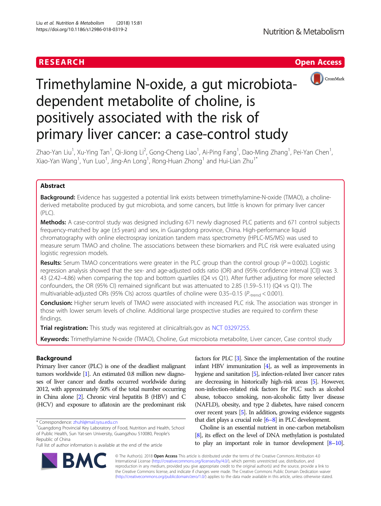## **RESEARCH CHE Open Access**



# Trimethylamine N-oxide, a gut microbiotadependent metabolite of choline, is positively associated with the risk of primary liver cancer: a case-control study

Zhao-Yan Liu<sup>1</sup>, Xu-Ying Tan<sup>1</sup>, Qi-Jiong Li<sup>2</sup>, Gong-Cheng Liao<sup>1</sup>, Ai-Ping Fang<sup>1</sup>, Dao-Ming Zhang<sup>1</sup>, Pei-Yan Chen<sup>1</sup> , Xiao-Yan Wang $^1$ , Yun Luo $^1$ , Jing-An Long $^1$ , Rong-Huan Zhong $^1$  and Hui-Lian Zhu $^{\ast}$ 

## Abstract

**Background:** Evidence has suggested a potential link exists between trimethylamine-N-oxide (TMAO), a cholinederived metabolite produced by gut microbiota, and some cancers, but little is known for primary liver cancer (PLC).

Methods: A case-control study was designed including 671 newly diagnosed PLC patients and 671 control subjects frequency-matched by age (±5 years) and sex, in Guangdong province, China. High-performance liquid chromatography with online electrospray ionization tandem mass spectrometry (HPLC-MS/MS) was used to measure serum TMAO and choline. The associations between these biomarkers and PLC risk were evaluated using logistic regression models.

**Results:** Serum TMAO concentrations were greater in the PLC group than the control group ( $P = 0.002$ ). Logistic regression analysis showed that the sex- and age-adjusted odds ratio (OR) and (95% confidence interval [CI]) was 3. 43 (2.42–4.86) when comparing the top and bottom quartiles (Q4 vs Q1). After further adjusting for more selected confounders, the OR (95% CI) remained significant but was attenuated to 2.85 (1.59–5.11) (Q4 vs Q1). The multivariable-adjusted ORs (95% Cls) across quartiles of choline were 0.35-0.15 (P<sub>-trend</sub> < 0.001).

Conclusion: Higher serum levels of TMAO were associated with increased PLC risk. The association was stronger in those with lower serum levels of choline. Additional large prospective studies are required to confirm these findings.

Trial registration: This study was registered at clinicaltrials.gov as [NCT 03297255.](https://clinicaltrials.gov/ct2/show/NCT03297255)

Keywords: Trimethylamine N-oxide (TMAO), Choline, Gut microbiota metabolite, Liver cancer, Case control study

## Background

Primary liver cancer (PLC) is one of the deadliest malignant tumors worldwide [\[1\]](#page-7-0). An estimated 0.8 million new diagnoses of liver cancer and deaths occurred worldwide during 2012, with approximately 50% of the total number occurring in China alone [\[2\]](#page-7-0). Chronic viral hepatitis B (HBV) and C (HCV) and exposure to aflatoxin are the predominant risk

Full list of author information is available at the end of the article



Choline is an essential nutrient in one-carbon metabolism [[8](#page-7-0)], its effect on the level of DNA methylation is postulated to play an important role in tumor development [\[8](#page-7-0)–[10\]](#page-7-0).



© The Author(s). 2018 Open Access This article is distributed under the terms of the Creative Commons Attribution 4.0 International License [\(http://creativecommons.org/licenses/by/4.0/](http://creativecommons.org/licenses/by/4.0/)), which permits unrestricted use, distribution, and reproduction in any medium, provided you give appropriate credit to the original author(s) and the source, provide a link to the Creative Commons license, and indicate if changes were made. The Creative Commons Public Domain Dedication waiver [\(http://creativecommons.org/publicdomain/zero/1.0/](http://creativecommons.org/publicdomain/zero/1.0/)) applies to the data made available in this article, unless otherwise stated.

<sup>\*</sup> Correspondence: [zhuhl@mail.sysu.edu.cn](mailto:zhuhl@mail.sysu.edu.cn) <sup>1</sup>

<sup>&</sup>lt;sup>1</sup>Guangdong Provincial Key Laboratory of Food, Nutrition and Health, School of Public Health, Sun Yat-sen University, Guangzhou 510080, People's Republic of China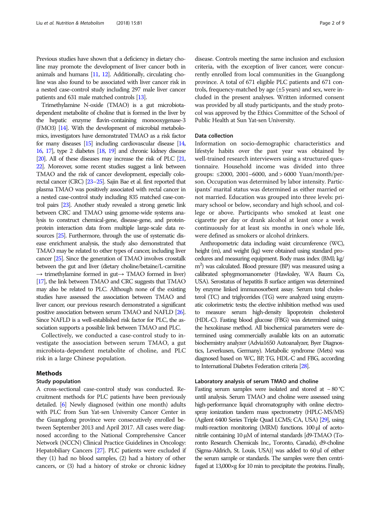Previous studies have shown that a deficiency in dietary choline may promote the development of liver cancer both in animals and humans [[11,](#page-7-0) [12\]](#page-7-0). Additionally, circulating choline was also found to be associated with liver cancer risk in a nested case-control study including 297 male liver cancer patients and 631 male matched controls [[13\]](#page-7-0).

Trimethylamine N-oxide (TMAO) is a gut microbiotadependent metabolite of choline that is formed in the liver by the hepatic enzyme flavin-containing monooxygenase-3 (FMO3) [\[14](#page-7-0)]. With the development of microbial metabolomics, investigators have demonstrated TMAO as a risk factor for many diseases [\[15](#page-7-0)] including cardiovascular disease [\[14](#page-7-0), [16,](#page-7-0) [17\]](#page-7-0), type 2 diabetes [\[18,](#page-7-0) [19](#page-7-0)] and chronic kidney disease [\[20](#page-7-0)]. All of these diseases may increase the risk of PLC [\[21](#page-8-0), [22\]](#page-8-0). Moreover, some recent studies suggest a link between TMAO and the risk of cancer development, especially colorectal cancer (CRC) [\[23](#page-8-0)–[25\]](#page-8-0). Sajin Bae et al. first reported that plasma TMAO was positively associated with rectal cancer in a nested case-control study including 835 matched case-control pairs [\[23](#page-8-0)]. Another study revealed a strong genetic link between CRC and TMAO using genome-wide systems analysis to construct chemical-gene, disease-gene, and proteinprotein interaction data from multiple large-scale data resources [[25\]](#page-8-0). Furthermore, through the use of systematic disease enrichment analysis, the study also demonstrated that TMAO may be related to other types of cancer, including liver cancer [\[25\]](#page-8-0). Since the generation of TMAO involves crosstalk between the gut and liver (dietary choline/betaine/L-carnitine  $\rightarrow$  trimethylamine formed in gut $\rightarrow$  TMAO formed in liver) [\[17](#page-7-0)], the link between TMAO and CRC suggests that TMAO may also be related to PLC. Although none of the existing studies have assessed the association between TMAO and liver cancer, our previous research demonstrated a significant positive association between serum TMAO and NAFLD [[26\]](#page-8-0). Since NAFLD is a well-established risk factor for PLC, the association supports a possible link between TMAO and PLC.

Collectively, we conducted a case-control study to investigate the association between serum TMAO, a gut microbiota-dependent metabolite of choline, and PLC risk in a large Chinese population.

#### Methods

#### Study population

A cross-sectional case-control study was conducted. Recruitment methods for PLC patients have been previously detailed. [[6](#page-7-0)] Newly diagnosed (within one month) adults with PLC from Sun Yat-sen University Cancer Center in the Guangdong province were consecutively enrolled between September 2013 and April 2017. All cases were diagnosed according to the National Comprehensive Cancer Network (NCCN) Clinical Practice Guidelines in Oncology: Hepatobiliary Cancers [\[27\]](#page-8-0). PLC patients were excluded if they (1) had no blood samples, (2) had a history of other cancers, or (3) had a history of stroke or chronic kidney

disease. Controls meeting the same inclusion and exclusion criteria, with the exception of liver cancer, were concurrently enrolled from local communities in the Guangdong province. A total of 671 eligible PLC patients and 671 controls, frequency-matched by age (±5 years) and sex, were included in the present analyses. Written informed consent was provided by all study participants, and the study protocol was approved by the Ethics Committee of the School of Public Health at Sun Yat-sen University.

## Data collection

Information on socio-demographic characteristics and lifestyle habits over the past year was obtained by well-trained research interviewers using a structured questionnaire. Household income was divided into three groups: ≤2000, 2001–6000, and > 6000 Yuan/month/person. Occupation was determined by labor intensity. Participants' marital status was determined as either married or not married. Education was grouped into three levels: primary school or below, secondary and high school, and college or above. Participants who smoked at least one cigarette per day or drank alcohol at least once a week continuously for at least six months in one's whole life, were defined as smokers or alcohol drinkers.

Anthropometric data including waist circumference (WC), height (m), and weight (kg) were obtained using standard procedures and measuring equipment. Body mass index (BMI; kg/ m2 ) was calculated. Blood pressure (BP) was measured using a calibrated sphygmomanometer (Hawksley, WA Baum Co, USA). Serostatus of hepatitis B surface antigen was determined by enzyme linked immunosorbent assay. Serum total cholesterol (TC) and triglycerides (TG) were analyzed using enzymatic colorimetric tests; the elective inhibition method was used to measure serum high-density lipoprotein cholesterol (HDL-C). Fasting blood glucose (FBG) was determined using the hexokinase method. All biochemical parameters were determined using commercially available kits on an automatic biochemistry analyzer (Advia1650 Autoanalyzer, Byer Diagnostics, Leverkusen, Germany). Metabolic syndrome (Mets) was diagnosed based on WC, BP, TG, HDL-C and FBG, according to International Diabetes Federation criteria [\[28\]](#page-8-0).

#### Laboratory analysis of serum TMAO and choline

Fasting serum samples were isolated and stored at − 80 °C until analysis. Serum TMAO and choline were assessed using high-performance liquid chromatography with online electrospray ionization tandem mass spectrometry (HPLC-MS/MS) (Agilent 6400 Series Triple Quad LCMS; CA, USA) [\[29](#page-8-0)], using multi-reaction monitoring (MRM) functions. 100 μl of acetonitrile containing 10 μM of internal standards [d9-TMAO (Toronto Research Chemicals Inc., Toronto, Canada), d9-choline (Sigma-Aldrich, St. Louis, USA)] was added to 60 μl of either the serum sample or standards. The samples were then centrifuged at 13,000×g for 10 min to precipitate the proteins. Finally,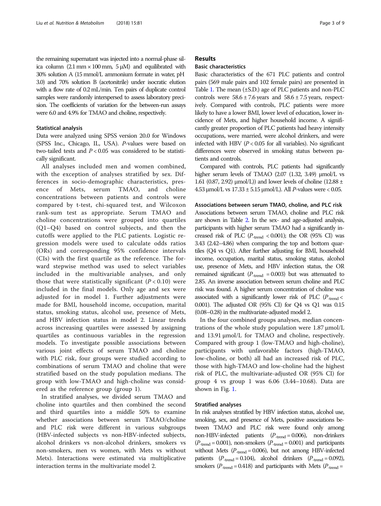the remaining supernatant was injected into a normal-phase silica column  $(2.1 \text{ mm} \times 100 \text{ mm}, 5 \mu M)$  and equilibrated with 30% solution A (15 mmol/L ammonium formate in water, pH 3.0) and 70% solution B (acetonitrile) under isocratic elution with a flow rate of 0.2 mL/min. Ten pairs of duplicate control samples were randomly interspersed to assess laboratory precision. The coefficients of variation for the between-run assays were 6.0 and 4.9% for TMAO and choline, respectively.

## Statistical analysis

Data were analyzed using SPSS version 20.0 for Windows (SPSS Inc., Chicago, IL, USA). P-values were based on two-tailed tests and  $P < 0.05$  was considered to be statistically significant.

All analyses included men and women combined, with the exception of analyses stratified by sex. Differences in socio-demographic characteristics, presence of Mets, serum TMAO, and choline concentrations between patients and controls were compared by t-test, chi-squared test, and Wilcoxon rank-sum test as appropriate. Serum TMAO and choline concentrations were grouped into quartiles (Q1–Q4) based on control subjects, and then the cutoffs were applied to the PLC patients. Logistic regression models were used to calculate odds ratios (ORs) and corresponding 95% confidence intervals (CIs) with the first quartile as the reference. The forward stepwise method was used to select variables included in the multivariable analyses, and only those that were statistically significant  $(P < 0.10)$  were included in the final models. Only age and sex were adjusted for in model 1. Further adjustments were made for BMI, household income, occupation, marital status, smoking status, alcohol use, presence of Mets, and HBV infection status in model 2. Linear trends across increasing quartiles were assessed by assigning quartiles as continuous variables in the regression models. To investigate possible associations between various joint effects of serum TMAO and choline with PLC risk, four groups were studied according to combinations of serum TMAO and choline that were stratified based on the study population medians. The group with low-TMAO and high-choline was considered as the reference group (group 1).

In stratified analyses, we divided serum TMAO and choline into quartiles and then combined the second and third quartiles into a middle 50% to examine whether associations between serum TMAO/choline and PLC risk were different in various subgroups (HBV-infected subjects vs non-HBV-infected subjects, alcohol drinkers vs non-alcohol drinkers, smokers vs non-smokers, men vs women, with Mets vs without Mets). Interactions were estimated via multiplicative interaction terms in the multivariate model 2.

## Results

## Basic characteristics

Basic characteristics of the 671 PLC patients and control pairs (569 male pairs and 102 female pairs) are presented in Table [1.](#page-3-0) The mean (±S.D.) age of PLC patients and non-PLC controls were  $58.6 \pm 7.6$  years and  $58.6 \pm 7.5$  years, respectively. Compared with controls, PLC patients were more likely to have a lower BMI, lower level of education, lower incidence of Mets, and higher household income. A significantly greater proportion of PLC patients had heavy intensity occupations, were married, were alcohol drinkers, and were infected with HBV  $(P < 0.05$  for all variables). No significant differences were observed in smoking status between patients and controls.

Compared with controls, PLC patients had significantly higher serum levels of TMAO (2.07 (1.32, 3.49) μmol/L vs 1.61 (0.87, 2.92)  $\mu$ mol/L)) and lower levels of choline (12.88 ± 4.53 μmol/L vs 17.33 ± 5.15 μmol/L). All P-values were < 0.05.

## Associations between serum TMAO, choline, and PLC risk Associations between serum TMAO, choline and PLC risk are shown in Table [2](#page-3-0). In the sex- and age-adjusted analysis, participants with higher serum TMAO had a significantly increased risk of PLC  $(P_{\text{-trend}} < 0.001)$ ; the OR (95% CI) was 3.43 (2.42–4.86) when comparing the top and bottom quartiles (Q4 vs Q1). After further adjusting for BMI, household income, occupation, marital status, smoking status, alcohol use, presence of Mets, and HBV infection status, the OR remained significant ( $P_{\text{-trend}} = 0.003$ ) but was attenuated to 2.85. An inverse association between serum choline and PLC risk was found. A higher serum concentration of choline was associated with a significantly lower risk of PLC  $(P_{\text{-trend}} <$ 0.001). The adjusted OR (95% CI) for Q4 vs Q1 was 0.15 (0.08–0.28) in the multivariate-adjusted model 2.

In the four combined groups analyses, median concentrations of the whole study population were 1.87 μmol/L and 13.91 μmol/L for TMAO and choline, respectively. Compared with group 1 (low-TMAO and high-choline), participants with unfavorable factors (high-TMAO, low-choline, or both) all had an increased risk of PLC, those with high-TMAO and low-choline had the highest risk of PLC, the multivariate-adjusted OR (95% CI) for group 4 vs group 1 was 6.06 (3.44–10.68). Data are shown in Fig. [1](#page-4-0).

#### Stratified analyses

In risk analyses stratified by HBV infection status, alcohol use, smoking, sex, and presence of Mets, positive associations between TMAO and PLC risk were found only among non-HBV-infected patients  $(P_{\text{-trend}} = 0.006)$ , non-drinkers  $(P_{\text{-trend}} = 0.001)$ , non-smokers  $(P_{\text{-trend}} = 0.001)$  and participants without Mets ( $P_{\text{-trend}} = 0.006$ ), but not among HBV-infected patients  $(P_{\text{-trend}} = 0.104)$ , alcohol drinkers  $(P_{\text{-trend}} = 0.092)$ , smokers ( $P_{\text{-trend}} = 0.418$ ) and participants with Mets ( $P_{\text{-trend}} =$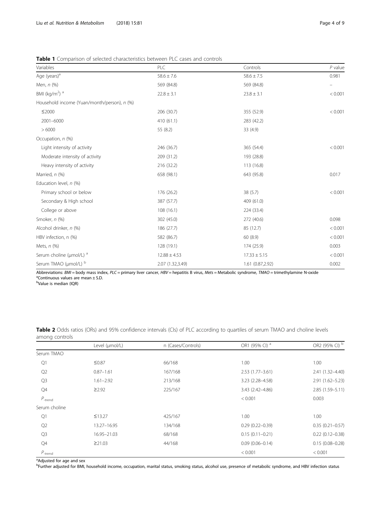| Variables                                   | PLC              | Controls         | $P$ value |
|---------------------------------------------|------------------|------------------|-----------|
| Age (years) <sup>a</sup>                    | $58.6 \pm 7.6$   | $58.6 \pm 7.5$   | 0.981     |
| Men, n (%)                                  | 569 (84.8)       | 569 (84.8)       |           |
| BMI (kg/m <sup>2</sup> ) <sup>a</sup>       | $22.8 \pm 3.1$   | $23.8 \pm 3.1$   | < 0.001   |
| Household income (Yuan/month/person), n (%) |                  |                  |           |
| $≤2000$                                     | 206 (30.7)       | 355 (52.9)       | < 0.001   |
| 2001-6000                                   | 410(61.1)        | 283 (42.2)       |           |
| >6000                                       | 55 (8.2)         | 33 (4.9)         |           |
| Occupation, n (%)                           |                  |                  |           |
| Light intensity of activity                 | 246 (36.7)       | 365 (54.4)       | < 0.001   |
| Moderate intensity of activity              | 209 (31.2)       | 193 (28.8)       |           |
| Heavy intensity of activity                 | 216 (32.2)       | 113 (16.8)       |           |
| Married, n (%)                              | 658 (98.1)       | 643 (95.8)       | 0.017     |
| Education level, n (%)                      |                  |                  |           |
| Primary school or below                     | 176 (26.2)       | 38(5.7)          | < 0.001   |
| Secondary & High school                     | 387 (57.7)       | 409 (61.0)       |           |
| College or above                            | 108(16.1)        | 224 (33.4)       |           |
| Smoker, n (%)                               | 302 (45.0)       | 272 (40.6)       | 0.098     |
| Alcohol drinker, n (%)                      | 186 (27.7)       | 85 (12.7)        | < 0.001   |
| HBV infection, n (%)                        | 582 (86.7)       | 60 (8.9)         | < 0.001   |
| Mets, $n$ (%)                               | 128 (19.1)       | 174 (25.9)       | 0.003     |
| Serum choline (µmol/L) <sup>a</sup>         | $12.88 \pm 4.53$ | $17.33 \pm 5.15$ | < 0.001   |
| Serum TMAO (µmol/L) b                       | 2.07 (1.32,3.49) | 1.61 (0.87,2.92) | 0.002     |

<span id="page-3-0"></span>Table 1 Comparison of selected characteristics between PLC cases and controls

Abbreviations: BMI = body mass index, PLC = primary liver cancer, HBV = hepatitis B virus, Mets = Metabolic syndrome, TMAO = trimethylamine N-oxide <sup>a</sup>Continuous values are mean  $\pm$  S.D.

<sup>b</sup>Value is median (IQR)

Table 2 Odds ratios (ORs) and 95% confidence intervals (CIs) of PLC according to quartiles of serum TMAO and choline levels among controls

|                     | Level (µmol/L) | n (Cases/Controls) | OR1 (95% CI) <sup>a</sup> | OR2 (95% CI) b      |
|---------------------|----------------|--------------------|---------------------------|---------------------|
| Serum TMAO          |                |                    |                           |                     |
| Q1                  | ≤0.87          | 66/168             | 1.00                      | 1.00                |
| Q2                  | $0.87 - 1.61$  | 167/168            | $2.53(1.77 - 3.61)$       | $2.41(1.32 - 4.40)$ |
| Q <sub>3</sub>      | $1.61 - 2.92$  | 213/168            | 3.23 (2.28-4.58)          | $2.91(1.62 - 5.23)$ |
| Q4                  | $\geq$ 2.92    | 225/167            | 3.43 (2.42-4.86)          | $2.85(1.59 - 5.11)$ |
| $P_{\text{-trend}}$ |                |                    | < 0.001                   | 0.003               |
| Serum choline       |                |                    |                           |                     |
| Q1                  | $\leq$ 13.27   | 425/167            | 1.00                      | 1.00                |
| Q2                  | 13.27-16.95    | 134/168            | $0.29(0.22 - 0.39)$       | $0.35(0.21 - 0.57)$ |
| Q <sub>3</sub>      | 16.95-21.03    | 68/168             | $0.15(0.11 - 0.21)$       | $0.22(0.12 - 0.38)$ |
| Q4                  | $\geq$ 21.03   | 44/168             | $0.09(0.06 - 0.14)$       | $0.15(0.08 - 0.28)$ |
| $P_{-trend}$        |                |                    | < 0.001                   | < 0.001             |

<sup>a</sup>Adjusted for age and sex

b<br><sup>B</sup>Further adjusted for BMI, household income, occupation, marital status, smoking status, alcohol use, presence of metabolic syndrome, and HBV infection status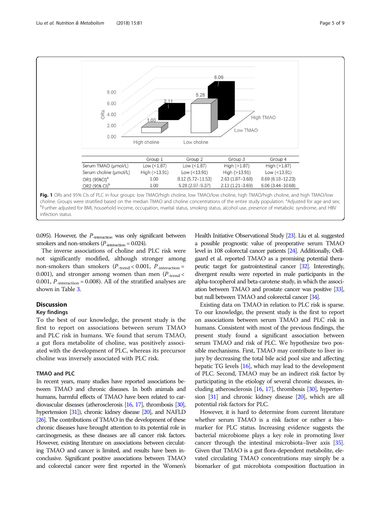<span id="page-4-0"></span>

0.095). However, the  $P_{\text{-interaction}}$  was only significant between

smokers and non-smokers ( $P_{\text{-interaction}} = 0.024$ ). The inverse associations of choline and PLC risk were not significantly modified, although stronger among non-smokers than smokers ( $P_{-trend}$  < 0.001,  $P_{-interation}$  = 0.001), and stronger among women than men  $(P_{\text{-trend}} <$ 0.001,  $P_{\text{-interaction}} = 0.008$ ). All of the stratified analyses are shown in Table [3.](#page-5-0)

### **Discussion**

#### Key findings

To the best of our knowledge, the present study is the first to report on associations between serum TMAO and PLC risk in humans. We found that serum TMAO, a gut flora metabolite of choline, was positively associated with the development of PLC, whereas its precursor choline was inversely associated with PLC risk.

## TMAO and PLC

In recent years, many studies have reported associations between TMAO and chronic diseases. In both animals and humans, harmful effects of TMAO have been related to cardiovascular diseases (atherosclerosis [[16,](#page-7-0) [17\]](#page-7-0), thrombosis [[30\]](#page-8-0), hypertension [[31\]](#page-8-0)), chronic kidney disease [\[20\]](#page-7-0), and NAFLD [\[26](#page-8-0)]. The contributions of TMAO in the development of these chronic diseases have brought attention to its potential role in carcinogenesis, as these diseases are all cancer risk factors. However, existing literature on associations between circulating TMAO and cancer is limited, and results have been inconclusive. Significant positive associations between TMAO and colorectal cancer were first reported in the Women's

Health Initiative Observational Study [\[23\]](#page-8-0). Liu et al. suggested a possible prognostic value of preoperative serum TMAO level in 108 colorectal cancer patients [[24\]](#page-8-0). Additionally, Oellgaard et al. reported TMAO as a promising potential therapeutic target for gastrointestinal cancer [\[32](#page-8-0)]. Interestingly, divergent results were reported in male participants in the alpha-tocopherol and beta-carotene study, in which the association between TMAO and prostate cancer was positive [[33\]](#page-8-0), but null between TMAO and colorectal cancer [\[34\]](#page-8-0).

Existing data on TMAO in relation to PLC risk is sparse. To our knowledge, the present study is the first to report on associations between serum TMAO and PLC risk in humans. Consistent with most of the previous findings, the present study found a significant association between serum TMAO and risk of PLC. We hypothesize two possible mechanisms. First, TMAO may contribute to liver injury by decreasing the total bile acid pool size and affecting hepatic TG levels [\[16\]](#page-7-0), which may lead to the development of PLC. Second, TMAO may be an indirect risk factor by participating in the etiology of several chronic diseases, including atherosclerosis [\[16,](#page-7-0) [17](#page-7-0)], thrombosis [\[30](#page-8-0)], hypertension [[31](#page-8-0)] and chronic kidney disease [\[20\]](#page-7-0), which are all potential risk factors for PLC.

However, it is hard to determine from current literature whether serum TMAO is a risk factor or rather a biomarker for PLC status. Increasing evidence suggests the bacterial microbiome plays a key role in promoting liver cancer through the intestinal microbiota–liver axis [\[35](#page-8-0)]. Given that TMAO is a gut flora-dependent metabolite, elevated circulating TMAO concentrations may simply be a biomarker of gut microbiota composition fluctuation in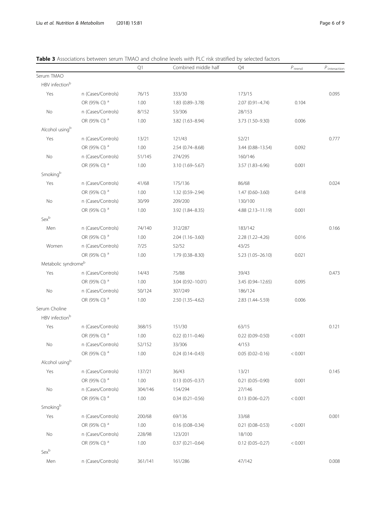## <span id="page-5-0"></span>Table 3 Associations between serum TMAO and choline levels with PLC risk stratified by selected factors

|                                 |                          | Q1      | Combined middle half | Q4                      | $P$ -trend | $P_{\text{-interactor}}$ |
|---------------------------------|--------------------------|---------|----------------------|-------------------------|------------|--------------------------|
| Serum TMAO                      |                          |         |                      |                         |            |                          |
| HBV infection <sup>b</sup>      |                          |         |                      |                         |            |                          |
| Yes                             | n (Cases/Controls)       | 76/15   | 333/30               | 173/15                  |            | 0.095                    |
|                                 | OR (95% CI) <sup>a</sup> | 1.00    | 1.83 (0.89-3.78)     | 2.07 (0.91-4.74)        | 0.104      |                          |
| No                              | n (Cases/Controls)       | 8/152   | 53/306               | 28/153                  |            |                          |
|                                 | OR (95% CI) <sup>a</sup> | 1.00    | 3.82 (1.63-8.94)     | 3.73 (1.50-9.30)        | 0.006      |                          |
| Alcohol usingb                  |                          |         |                      |                         |            |                          |
| Yes                             | n (Cases/Controls)       | 13/21   | 121/43               | 52/21                   |            | 0.777                    |
|                                 | OR (95% CI) <sup>a</sup> | 1.00    | 2.54 (0.74-8.68)     | 3.44 (0.88-13.54)       | 0.092      |                          |
| No                              | n (Cases/Controls)       | 51/145  | 274/295              | 160/146                 |            |                          |
|                                 | OR (95% CI) <sup>a</sup> | 1.00    | 3.10 (1.69-5.67)     | 3.57 (1.83-6.96)        | 0.001      |                          |
| Smokingb                        |                          |         |                      |                         |            |                          |
| Yes                             | n (Cases/Controls)       | 41/68   | 175/136              | 86/68                   |            | 0.024                    |
|                                 | OR (95% CI) <sup>a</sup> | 1.00    | 1.32 (0.59-2.94)     | $1.47(0.60 - 3.60)$     | 0.418      |                          |
| No                              | n (Cases/Controls)       | 30/99   | 209/200              | 130/100                 |            |                          |
|                                 | OR (95% CI) <sup>a</sup> | 1.00    | 3.92 (1.84-8.35)     | $4.88$ $(2.13 - 11.19)$ | 0.001      |                          |
| Sexb                            |                          |         |                      |                         |            |                          |
| Men                             | n (Cases/Controls)       | 74/140  | 312/287              | 183/142                 |            | 0.166                    |
|                                 | OR (95% CI) <sup>a</sup> | 1.00    | $2.04(1.16 - 3.60)$  | 2.28 (1.22-4.26)        | 0.016      |                          |
| Women                           | n (Cases/Controls)       | 7/25    | 52/52                | 43/25                   |            |                          |
|                                 | OR (95% CI) <sup>a</sup> | 1.00    | 1.79 (0.38-8.30)     | $5.23(1.05 - 26.10)$    | 0.021      |                          |
| Metabolic syndrome <sup>b</sup> |                          |         |                      |                         |            |                          |
| Yes                             | n (Cases/Controls)       | 14/43   | 75/88                | 39/43                   |            | 0.473                    |
|                                 | OR (95% CI) <sup>a</sup> | 1.00    | 3.04 (0.92-10.01)    | 3.45 (0.94-12.65)       | 0.095      |                          |
| No                              | n (Cases/Controls)       | 50/124  | 307/249              | 186/124                 |            |                          |
|                                 | OR (95% CI) <sup>a</sup> | 1.00    | 2.50 (1.35-4.62)     | 2.83 (1.44-5.59)        | 0.006      |                          |
| Serum Choline                   |                          |         |                      |                         |            |                          |
| HBV infection <sup>b</sup>      |                          |         |                      |                         |            |                          |
| Yes                             | n (Cases/Controls)       | 368/15  | 151/30               | 63/15                   |            | 0.121                    |
|                                 | OR (95% CI) <sup>a</sup> | 1.00    | $0.22(0.11 - 0.46)$  | $0.22$ (0.09-0.50)      | < 0.001    |                          |
| No                              | n (Cases/Controls)       | 52/152  | 33/306               | 4/153                   |            |                          |
|                                 | OR (95% CI) <sup>a</sup> | 1.00    | $0.24(0.14 - 0.43)$  | $0.05(0.02 - 0.16)$     | < 0.001    |                          |
| Alcohol usingb                  |                          |         |                      |                         |            |                          |
| Yes                             | n (Cases/Controls)       | 137/21  | 36/43                | 13/21                   |            | 0.145                    |
|                                 | OR (95% CI) <sup>a</sup> | 1.00    | $0.13(0.05 - 0.37)$  | $0.21(0.05 - 0.90)$     | 0.001      |                          |
| No                              | n (Cases/Controls)       | 304/146 | 154/294              | 27/146                  |            |                          |
|                                 | OR (95% CI) <sup>a</sup> | 1.00    | $0.34(0.21 - 0.56)$  | $0.13(0.06 - 0.27)$     | < 0.001    |                          |
| Smokingb                        |                          |         |                      |                         |            |                          |
| Yes                             | n (Cases/Controls)       | 200/68  | 69/136               | 33/68                   |            | 0.001                    |
|                                 | OR (95% CI) <sup>a</sup> | 1.00    | $0.16(0.08 - 0.34)$  | $0.21(0.08 - 0.53)$     | < 0.001    |                          |
| No                              | n (Cases/Controls)       | 228/98  | 123/201              | 18/100                  |            |                          |
|                                 | OR (95% CI) <sup>a</sup> | 1.00    | $0.37(0.21 - 0.64)$  | $0.12(0.05 - 0.27)$     | < 0.001    |                          |
| Sexb                            |                          |         |                      |                         |            |                          |
| Men                             | n (Cases/Controls)       | 361/141 | 161/286              | 47/142                  |            | 0.008                    |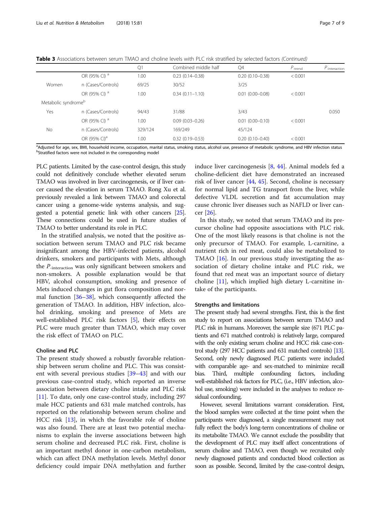Table 3 Associations between serum TMAO and choline levels with PLC risk stratified by selected factors (Continued)

|                                 |                          | Q <sub>1</sub> | Combined middle half | Q4                  | $P_{-trend}$ | $P_{\text{-interaction}}$ |
|---------------------------------|--------------------------|----------------|----------------------|---------------------|--------------|---------------------------|
|                                 | OR (95% CI) <sup>a</sup> | 00.1           | $0.23(0.14 - 0.38)$  | $0.20(0.10 - 0.38)$ | < 0.001      |                           |
| Women                           | n (Cases/Controls)       | 69/25          | 30/52                | 3/25                |              |                           |
|                                 | OR (95% CI) <sup>a</sup> | 1.00           | $0.34(0.11 - 1.10)$  | $0.01(0.00 - 0.08)$ | < 0.001      |                           |
| Metabolic syndrome <sup>b</sup> |                          |                |                      |                     |              |                           |
| Yes                             | n (Cases/Controls)       | 94/43          | 31/88                | 3/43                |              | 0.050                     |
|                                 | OR (95% CI) <sup>a</sup> | 1.00           | $0.09(0.03 - 0.26)$  | $0.01(0.00 - 0.10)$ | < 0.001      |                           |
| <b>No</b>                       | n (Cases/Controls)       | 329/124        | 169/249              | 45/124              |              |                           |
|                                 | OR (95% CI) <sup>a</sup> | 1.00           | $0.32(0.19 - 0.53)$  | $0.20(0.10 - 0.40)$ | < 0.001      |                           |

<sup>a</sup>Adjusted for age, sex, BMI, household income, occupation, marital status, smoking status, alcohol use, presence of metabolic syndrome, and HBV infection status<br>Pstratified factors were not included in the cerreconding m <sup>b</sup>Stratified factors were not included in the corresponding model

PLC patients. Limited by the case-control design, this study could not definitively conclude whether elevated serum TMAO was involved in liver carcinogenesis, or if liver cancer caused the elevation in serum TMAO. Rong Xu et al. previously revealed a link between TMAO and colorectal cancer using a genome-wide systems analysis, and suggested a potential genetic link with other cancers [\[25](#page-8-0)]. These connections could be used in future studies of TMAO to better understand its role in PLC.

In the stratified analysis, we noted that the positive association between serum TMAO and PLC risk became insignificant among the HBV-infected patients, alcohol drinkers, smokers and participants with Mets, although the P-interaction was only significant between smokers and non-smokers. A possible explanation would be that HBV, alcohol consumption, smoking and presence of Mets induced changes in gut flora composition and normal function [\[36](#page-8-0)–[38](#page-8-0)], which consequently affected the generation of TMAO. In addition, HBV infection, alcohol drinking, smoking and presence of Mets are well-established PLC risk factors [\[5](#page-7-0)], their effects on PLC were much greater than TMAO, which may cover the risk effect of TMAO on PLC.

#### Choline and PLC

The present study showed a robustly favorable relationship between serum choline and PLC. This was consistent with several previous studies [\[39](#page-8-0)–[43\]](#page-8-0) and with our previous case-control study, which reported an inverse association between dietary choline intake and PLC risk [[11\]](#page-7-0). To date, only one case-control study, including 297 male HCC patients and 631 male matched controls, has reported on the relationship between serum choline and HCC risk [\[13](#page-7-0)], in which the favorable role of choline was also found. There are at least two potential mechanisms to explain the inverse associations between high serum choline and decreased PLC risk. First, choline is an important methyl donor in one-carbon metabolism, which can affect DNA methylation levels. Methyl donor deficiency could impair DNA methylation and further

induce liver carcinogenesis [[8](#page-7-0), [44\]](#page-8-0). Animal models fed a choline-deficient diet have demonstrated an increased risk of liver cancer [\[44](#page-8-0), [45](#page-8-0)]. Second, choline is necessary for normal lipid and TG transport from the liver, while defective VLDL secretion and fat accumulation may cause chronic liver diseases such as NAFLD or liver cancer [\[26](#page-8-0)].

In this study, we noted that serum TMAO and its precursor choline had opposite associations with PLC risk. One of the most likely reasons is that choline is not the only precursor of TMAO. For example, L-carnitine, a nutrient rich in red meat, could also be metabolized to TMAO [[16\]](#page-7-0). In our previous study investigating the association of dietary choline intake and PLC risk, we found that red meat was an important source of dietary choline [[11](#page-7-0)], which implied high dietary L-carnitine intake of the participants.

#### Strengths and limitations

The present study had several strengths. First, this is the first study to report on associations between serum TMAO and PLC risk in humans. Moreover, the sample size (671 PLC patients and 671 matched controls) is relatively large, compared with the only existing serum choline and HCC risk case-control study (297 HCC patients and 631 matched controls) [\[13\]](#page-7-0). Second, only newly diagnosed PLC patients were included with comparable age- and sex-matched to minimize recall bias. Third, multiple confounding factors, including well-established risk factors for PLC, (i.e., HBV infection, alcohol use, smoking) were included in the analyses to reduce residual confounding.

However, several limitations warrant consideration. First, the blood samples were collected at the time point when the participants were diagnosed, a single measurement may not fully reflect the body's long-term concentrations of choline or its metabolite TMAO. We cannot exclude the possibility that the development of PLC may itself affect concentrations of serum choline and TMAO, even though we recruited only newly diagnosed patients and conducted blood collection as soon as possible. Second, limited by the case-control design,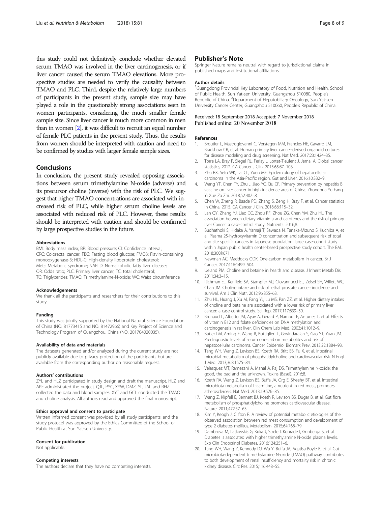<span id="page-7-0"></span>this study could not definitively conclude whether elevated serum TMAO was involved in the liver carcinogenesis, or if liver cancer caused the serum TMAO elevations. More prospective studies are needed to verify the causality between TMAO and PLC. Third, despite the relatively large numbers of participants in the present study, sample size may have played a role in the questionably strong associations seen in women participants, considering the much smaller female sample size. Since liver cancer is much more common in men than in women [2], it was difficult to recruit an equal number of female PLC patients in the present study. Thus, the results from women should be interpreted with caution and need to be confirmed by studies with larger female sample sizes.

## Conclusions

In conclusion, the present study revealed opposing associations between serum trimethylamine N-oxide (adverse) and its precursor choline (inverse) with the risk of PLC. We suggest that higher TMAO concentrations are associated with increased risk of PLC, while higher serum choline levels are associated with reduced risk of PLC. However, these results should be interpreted with caution and should be confirmed by large prospective studies in the future.

#### Abbreviations

BMI: Body mass index; BP: Blood pressure; CI: Confidence interval; CRC: Colorectal cancer; FBG: Fasting blood glucose; FMO3: Flavin-containing monooxygenase-3; HDL-C: High-density lipoprotein cholesterol; Mets: Metabolic syndrome; NAFLD: Non-alcoholic fatty liver disease; OR: Odds ratio; PLC: Primary liver cancer; TC: total cholesterol; TG: Triglycerides; TMAO: Trimethylamine-N-oxide; WC: Waist circumference

#### Acknowledgements

We thank all the participants and researchers for their contributions to this study.

#### Funding

This study was jointly supported by the National Natural Science Foundation of China (NO. 81773415 and NO. 81472966) and Key Project of Science and Technology Program of Guangzhou, China (NO. 201704020035).

#### Availability of data and materials

The datasets generated and/or analyzed during the current study are not publicly available due to privacy protection of the participants but are available from the corresponding author on reasonable request.

#### Authors' contributions

ZYL and HLZ participated in study design and draft the manuscript. HLZ and APF administrated the project. QJL, PYC, XYW, DMZ, YL, JAL and RHZ collected the data and blood samples. XYT and GCL conducted the TMAO and choline analysis. All authors read and approved the final manuscript.

#### Ethics approval and consent to participate

Written informed consent was provided by all study participants, and the study protocol was approved by the Ethics Committee of the School of Public Health at Sun Yat-sen University.

#### Consent for publication

Not applicable.

#### Competing interests

The authors declare that they have no competing interests.

#### Publisher's Note

Springer Nature remains neutral with regard to jurisdictional claims in published maps and institutional affiliations.

#### Author details

<sup>1</sup>Guangdong Provincial Key Laboratory of Food, Nutrition and Health, School of Public Health, Sun Yat-sen University, Guangzhou 510080, People's Republic of China. <sup>2</sup>Department of Hepatobiliary Oncology, Sun Yat-sen University Cancer Center, Guangzhou 510060, People's Republic of China.

#### Received: 18 September 2018 Accepted: 7 November 2018 Published online: 20 November 2018

#### References

- 1. Broutier L, Mastrogiovanni G, Verstegen MM, Francies HE, Gavarro LM, Bradshaw CR, et al. Human primary liver cancer-derived organoid cultures for disease modeling and drug screening. Nat Med. 2017;23:1424–35.
- 2. Torre LA, Bray F, Siegel RL, Ferlay J, Lortet-Tieulent J, Jemal A. Global cancer statistics, 2012. CA Cancer J Clin. 2015;65:87–108.
- 3. Zhu RX, Seto WK, Lai CL, Yuen MF. Epidemiology of hepatocellular carcinoma in the Asia-Pacific region. Gut and Liver. 2016;10:332–9.
- 4. Wang YT, Chen TY, Zhu J, Jiao YC, Qu CF. Primary prevention by hepatitis B vaccine on liver cancer in high incidence area of China. Zhonghua Yu Fang Yi Xue Za Zhi. 2018;52:402–8.
- 5. Chen W, Zheng R, Baade PD, Zhang S, Zeng H, Bray F, et al. Cancer statistics in China, 2015. CA Cancer J Clin. 2016;66:115–32.
- 6. Lan QY, Zhang YJ, Liao GC, Zhou RF, Zhou ZG, Chen YM, Zhu HL. The association between dietary vitamin a and carotenes and the risk of primary liver Cancer: a case-control study. Nutrients. 2016;8.
- 7. Budhathoki S, Hidaka A, Yamaji T, Sawada N, Tanaka-Mizuno S, Kuchiba A, et al. Plasma 25-hydroxyvitamin D concentration and subsequent risk of total and site specific cancers in Japanese population: large case-cohort study within Japan public health center-based prospective study cohort. The BMJ. 2018;360:k671.
- 8. Newman AC, Maddocks ODK. One-carbon metabolism in cancer. Br J Cancer. 2017;116:1499–504.
- 9. Ueland PM. Choline and betaine in health and disease. J Inherit Metab Dis. 2011;34:3–15.
- 10. Richman EL, Kenfield SA, Stampfer MJ, Giovannucci EL, Zeisel SH, Willett WC, Chan JM. Choline intake and risk of lethal prostate cancer: incidence and survival. Am J Clin Nutr. 2012;96:855–63.
- 11. Zhu HL, Huang J, Xu M, Fang YJ, Lu MS, Pan ZZ, et al. Higher dietary intakes of choline and betaine are associated with a lower risk of primary liver cancer: a case-control study. Sci Rep. 2017;117:839–50.
- 12. Brunaud L, Alberto JM, Ayav A, Gerard P, Namour F, Antunes L, et al. Effects of vitamin B12 and folate deficiencies on DNA methylation and carcinogenesis in rat liver. Clin Chem Lab Med. 2003;41:1012–9.
- 13. Butler LM, Arning E, Wang R, Bottiglieri T, Govindarajan S, Gao YT, Yuan JM. Prediagnostic levels of serum one-carbon metabolites and risk of hepatocellular carcinoma. Cancer Epidemiol Biomark Prev. 2013;22:1884–93.
- 14. Tang WH, Wang Z, Levison BS, Koeth RA, Britt EB, Fu X, et al. Intestinal microbial metabolism of phosphatidylcholine and cardiovascular risk. N Engl J Med. 2013;368:1575–84.
- 15. Velasquez MT, Ramezani A, Manal A, Raj DS. Trimethylamine N-oxide: the good, the bad and the unknown. Toxins (Basel). 2016;8.
- 16. Koeth RA, Wang Z, Levison BS, Buffa JA, Org E, Sheehy BT, et al. Intestinal microbiota metabolism of L-carnitine, a nutrient in red meat, promotes atherosclerosis. Nat Med. 2013;19:576–85.
- 17. Wang Z, Klipfell E, Bennett BJ, Koeth R, Levison BS, Dugar B, et al. Gut flora metabolism of phosphatidylcholine promotes cardiovascular disease. Nature. 2011;472:57–63.
- 18. Kim Y, Keogh J, Clifton P. A review of potential metabolic etiologies of the observed association between red meat consumption and development of type 2 diabetes mellitus. Metabolism. 2015;64:768–79.
- 19. Dambrova M, Latkovskis G, Kuka J, Strele I, Konrade I, Grinberga S, et al. Diabetes is associated with higher trimethylamine N-oxide plasma levels. Exp Clin Endocrinol Diabetes. 2016;124:251–6.
- 20. Tang WH, Wang Z, Kennedy DJ, Wu Y, Buffa JA, Agatisa-Boyle B, et al. Gut microbiota-dependent trimethylamine N-oxide (TMAO) pathway contributes to both development of renal insufficiency and mortality risk in chronic kidney disease. Circ Res. 2015;116:448–55.